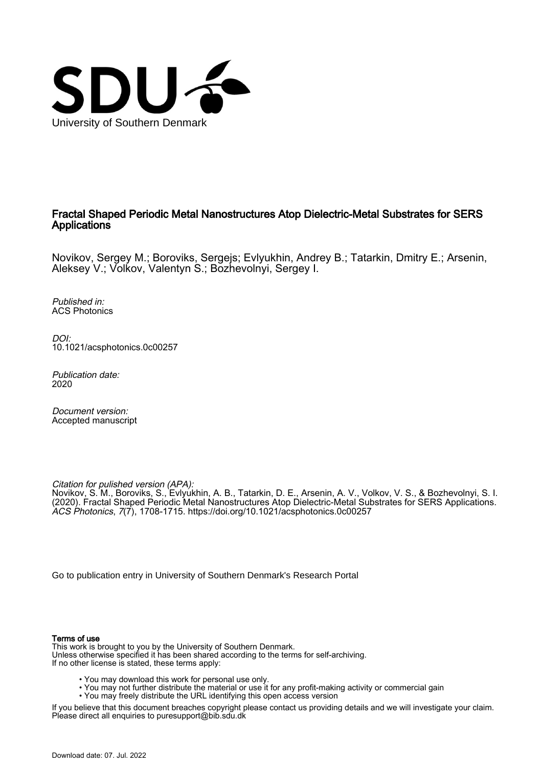

# Fractal Shaped Periodic Metal Nanostructures Atop Dielectric-Metal Substrates for SERS **Applications**

Novikov, Sergey M.; Boroviks, Sergejs; Evlyukhin, Andrey B.; Tatarkin, Dmitry E.; Arsenin, Aleksey V.; Volkov, Valentyn S.; Bozhevolnyi, Sergey I.

Published in: ACS Photonics

DOI: [10.1021/acsphotonics.0c00257](https://doi.org/10.1021/acsphotonics.0c00257)

Publication date: 2020

Document version: Accepted manuscript

Citation for pulished version (APA):

Novikov, S. M., Boroviks, S., Evlyukhin, A. B., Tatarkin, D. E., Arsenin, A. V., Volkov, V. S., & Bozhevolnyi, S. I. (2020). Fractal Shaped Periodic Metal Nanostructures Atop Dielectric-Metal Substrates for SERS Applications. ACS Photonics, 7(7), 1708-1715.<https://doi.org/10.1021/acsphotonics.0c00257>

[Go to publication entry in University of Southern Denmark's Research Portal](https://portal.findresearcher.sdu.dk/en/publications/2938f3cf-7a03-48f9-9a41-564d4b997f8b)

#### Terms of use

This work is brought to you by the University of Southern Denmark. Unless otherwise specified it has been shared according to the terms for self-archiving. If no other license is stated, these terms apply:

- You may download this work for personal use only.
- You may not further distribute the material or use it for any profit-making activity or commercial gain
	- You may freely distribute the URL identifying this open access version

If you believe that this document breaches copyright please contact us providing details and we will investigate your claim. Please direct all enquiries to puresupport@bib.sdu.dk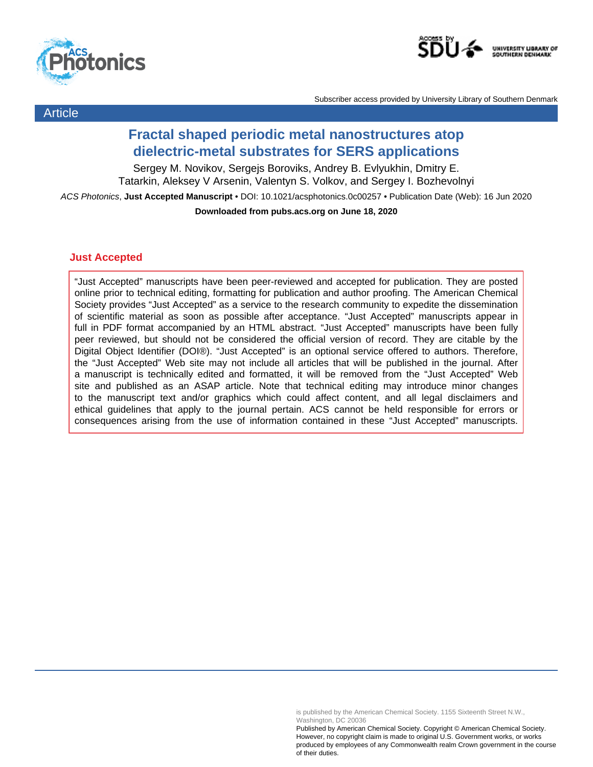



Article

Subscriber access provided by University Library of Southern Denmark

# **Fractal shaped periodic metal nanostructures atop dielectric-metal substrates for SERS applications**

Sergey M. Novikov, Sergejs Boroviks, Andrey B. Evlyukhin, Dmitry E. Tatarkin, Aleksey V Arsenin, Valentyn S. Volkov, and Sergey I. Bozhevolnyi ACS Photonics, **Just Accepted Manuscript** • DOI: 10.1021/acsphotonics.0c00257 • Publication Date (Web): 16 Jun 2020 **Downloaded from pubs.acs.org on June 18, 2020**

# **Just Accepted**

"Just Accepted" manuscripts have been peer-reviewed and accepted for publication. They are posted online prior to technical editing, formatting for publication and author proofing. The American Chemical Society provides "Just Accepted" as a service to the research community to expedite the dissemination of scientific material as soon as possible after acceptance. "Just Accepted" manuscripts appear in full in PDF format accompanied by an HTML abstract. "Just Accepted" manuscripts have been fully peer reviewed, but should not be considered the official version of record. They are citable by the Digital Object Identifier (DOI®). "Just Accepted" is an optional service offered to authors. Therefore, the "Just Accepted" Web site may not include all articles that will be published in the journal. After a manuscript is technically edited and formatted, it will be removed from the "Just Accepted" Web site and published as an ASAP article. Note that technical editing may introduce minor changes to the manuscript text and/or graphics which could affect content, and all legal disclaimers and ethical guidelines that apply to the journal pertain. ACS cannot be held responsible for errors or consequences arising from the use of information contained in these "Just Accepted" manuscripts.

is published by the American Chemical Society. 1155 Sixteenth Street N.W., Washington, DC 20036

Published by American Chemical Society. Copyright © American Chemical Society. However, no copyright claim is made to original U.S. Government works, or works produced by employees of any Commonwealth realm Crown government in the course of their duties.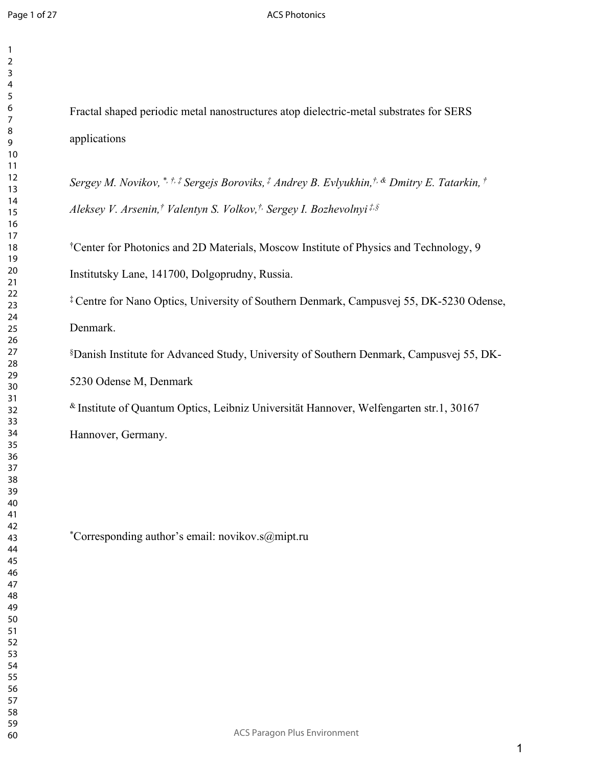## ACS Photonics

 

Fractal shaped periodic metal nanostructures atop dielectric-metal substrates for SERS applications

*Sergey M. Novikov, \*, †, ‡ Sergejs Boroviks, ‡ Andrey B. Evlyukhin,†, & Dmitry E. Tatarkin, † Aleksey V. Arsenin,† Valentyn S. Volkov,†, Sergey I. Bozhevolnyi ‡,§*

†Center for Photonics and 2D Materials, Moscow Institute of Physics and Technology, 9 Institutsky Lane, 141700, Dolgoprudny, Russia.

‡ Centre for Nano Optics, University of Southern Denmark, Campusvej 55, DK-5230 Odense, Denmark.

§Danish Institute for Advanced Study, University of Southern Denmark, Campusvej 55, DK-5230 Odense M, Denmark

& Institute of Quantum Optics, Leibniz Universität Hannover, Welfengarten str.1, 30167

Hannover, Germany.

\*Corresponding author's email: novikov.s@mipt.ru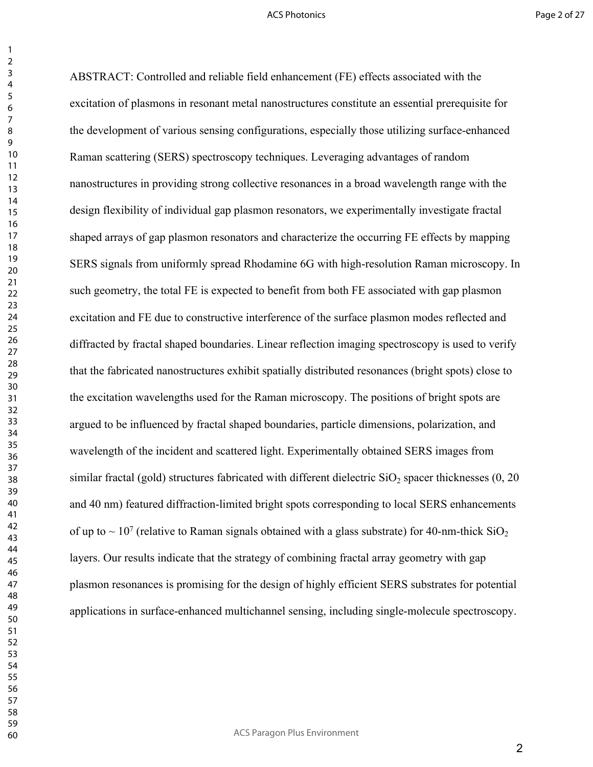ABSTRACT: Controlled and reliable field enhancement (FE) effects associated with the excitation of plasmons in resonant metal nanostructures constitute an essential prerequisite for the development of various sensing configurations, especially those utilizing surface-enhanced Raman scattering (SERS) spectroscopy techniques. Leveraging advantages of random nanostructures in providing strong collective resonances in a broad wavelength range with the design flexibility of individual gap plasmon resonators, we experimentally investigate fractal shaped arrays of gap plasmon resonators and characterize the occurring FE effects by mapping SERS signals from uniformly spread Rhodamine 6G with high-resolution Raman microscopy. In such geometry, the total FE is expected to benefit from both FE associated with gap plasmon excitation and FE due to constructive interference of the surface plasmon modes reflected and diffracted by fractal shaped boundaries. Linear reflection imaging spectroscopy is used to verify that the fabricated nanostructures exhibit spatially distributed resonances (bright spots) close to the excitation wavelengths used for the Raman microscopy. The positions of bright spots are argued to be influenced by fractal shaped boundaries, particle dimensions, polarization, and wavelength of the incident and scattered light. Experimentally obtained SERS images from similar fractal (gold) structures fabricated with different dielectric  $SiO<sub>2</sub>$  spacer thicknesses (0, 20) and 40 nm) featured diffraction-limited bright spots corresponding to local SERS enhancements of up to  $\sim 10^7$  (relative to Raman signals obtained with a glass substrate) for 40-nm-thick SiO<sub>2</sub> layers. Our results indicate that the strategy of combining fractal array geometry with gap plasmon resonances is promising for the design of highly efficient SERS substrates for potential applications in surface-enhanced multichannel sensing, including single-molecule spectroscopy.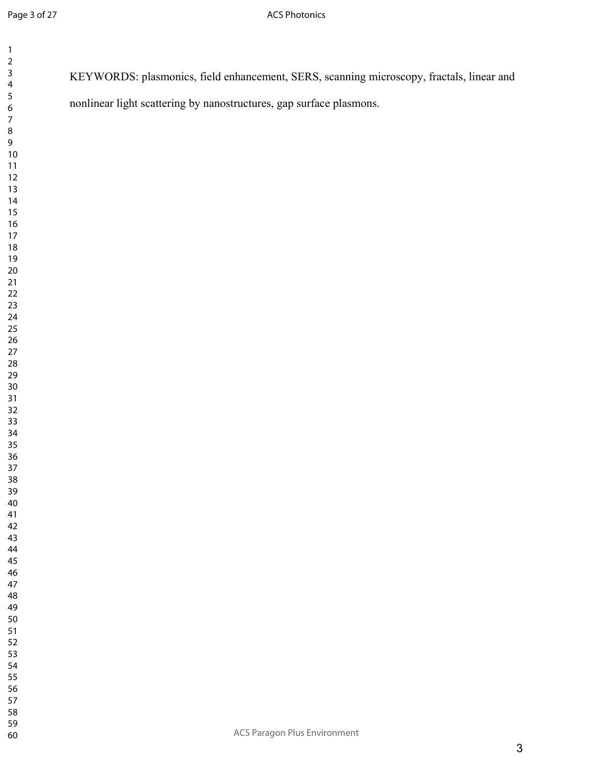| $\begin{array}{c} 2 \\ 3 \end{array}$ | KEYWORDS: plasmonics, field enhancement, SERS, scanning microscopy, fractals, linear and |
|---------------------------------------|------------------------------------------------------------------------------------------|
| 4                                     |                                                                                          |
| 5                                     |                                                                                          |
| 6                                     | nonlinear light scattering by nanostructures, gap surface plasmons.                      |
| $\boldsymbol{7}$                      |                                                                                          |
| $\bf 8$                               |                                                                                          |
| 9                                     |                                                                                          |
| $10\,$                                |                                                                                          |
| $11$                                  |                                                                                          |
| $12$                                  |                                                                                          |
| $13$                                  |                                                                                          |
| 14                                    |                                                                                          |
| 15                                    |                                                                                          |
|                                       |                                                                                          |
| $16$                                  |                                                                                          |
| $17$                                  |                                                                                          |
| 18                                    |                                                                                          |
| 19                                    |                                                                                          |
| $20\,$                                |                                                                                          |
| $21\,$                                |                                                                                          |
| $22\,$                                |                                                                                          |
| 23                                    |                                                                                          |
| 24                                    |                                                                                          |
| 25                                    |                                                                                          |
| 26                                    |                                                                                          |
| $27$                                  |                                                                                          |
| 28                                    |                                                                                          |
| 29                                    |                                                                                          |
| $30\,$                                |                                                                                          |
| 31                                    |                                                                                          |
| $32$                                  |                                                                                          |
| 33                                    |                                                                                          |
| 34                                    |                                                                                          |
| 35                                    |                                                                                          |
| 36                                    |                                                                                          |
| 37                                    |                                                                                          |
| 38                                    |                                                                                          |
| 39                                    |                                                                                          |
| 40                                    |                                                                                          |
| 41                                    |                                                                                          |
| 42                                    |                                                                                          |
| 43                                    |                                                                                          |
| 44                                    |                                                                                          |
| 45                                    |                                                                                          |
| 46                                    |                                                                                          |
| 47                                    |                                                                                          |
| 48                                    |                                                                                          |
| 49                                    |                                                                                          |
| 50                                    |                                                                                          |
| 51                                    |                                                                                          |
| 52                                    |                                                                                          |
| 53                                    |                                                                                          |
| 54                                    |                                                                                          |
| 55                                    |                                                                                          |
| 56                                    |                                                                                          |
| 57                                    |                                                                                          |
| 58                                    |                                                                                          |
| 59                                    | ACS Paragon Plus Environment                                                             |
| 60                                    |                                                                                          |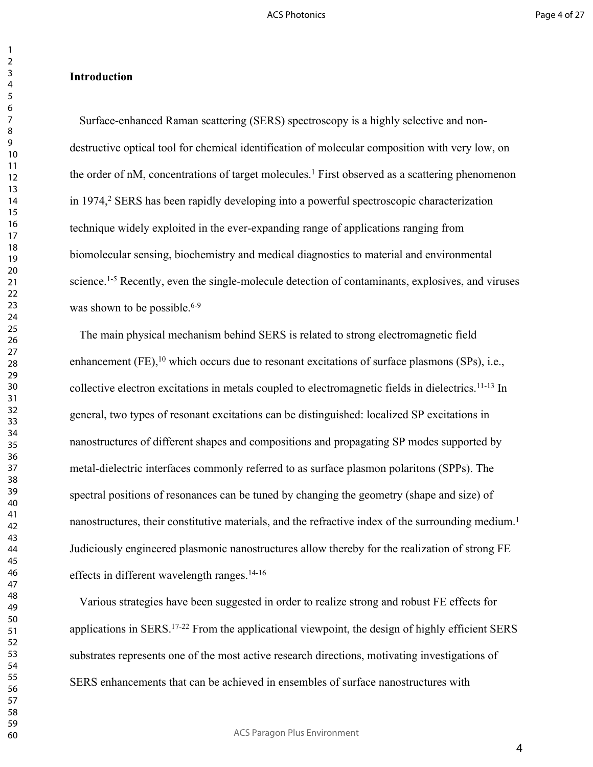## **Introduction**

Surface-enhanced Raman scattering (SERS) spectroscopy is a highly selective and nondestructive optical tool for chemical identification of molecular composition with very low, on the order of nM, concentrations of target molecules.<sup>1</sup> First observed as a scattering phenomenon in 1974,<sup>2</sup> SERS has been rapidly developing into a powerful spectroscopic characterization technique widely exploited in the ever-expanding range of applications ranging from biomolecular sensing, biochemistry and medical diagnostics to material and environmental science.<sup>1-5</sup> Recently, even the single-molecule detection of contaminants, explosives, and viruses was shown to be possible. $6-9$ 

The main physical mechanism behind SERS is related to strong electromagnetic field enhancement (FE),  $^{10}$  which occurs due to resonant excitations of surface plasmons (SPs), i.e., collective electron excitations in metals coupled to electromagnetic fields in dielectrics.11-13 In general, two types of resonant excitations can be distinguished: localized SP excitations in nanostructures of different shapes and compositions and propagating SP modes supported by metal-dielectric interfaces commonly referred to as surface plasmon polaritons (SPPs). The spectral positions of resonances can be tuned by changing the geometry (shape and size) of nanostructures, their constitutive materials, and the refractive index of the surrounding medium.<sup>1</sup> Judiciously engineered plasmonic nanostructures allow thereby for the realization of strong FE effects in different wavelength ranges.14-16

Various strategies have been suggested in order to realize strong and robust FE effects for applications in SERS.17-22 From the applicational viewpoint, the design of highly efficient SERS substrates represents one of the most active research directions, motivating investigations of SERS enhancements that can be achieved in ensembles of surface nanostructures with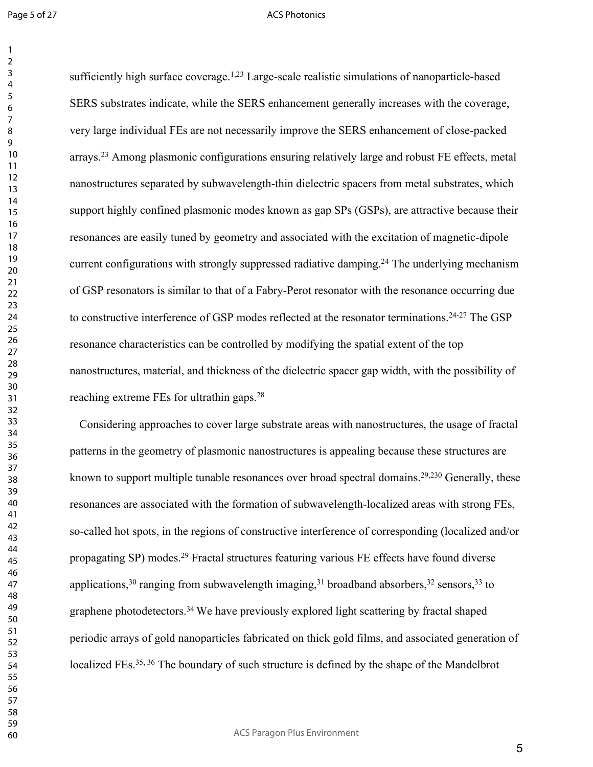Page 5 of 27

#### ACS Photonics

sufficiently high surface coverage.<sup>1,23</sup> Large-scale realistic simulations of nanoparticle-based SERS substrates indicate, while the SERS enhancement generally increases with the coverage, very large individual FEs are not necessarily improve the SERS enhancement of close-packed arrays.<sup>23</sup> Among plasmonic configurations ensuring relatively large and robust FE effects, metal nanostructures separated by subwavelength-thin dielectric spacers from metal substrates, which support highly confined plasmonic modes known as gap SPs (GSPs), are attractive because their resonances are easily tuned by geometry and associated with the excitation of magnetic-dipole current configurations with strongly suppressed radiative damping.<sup>24</sup> The underlying mechanism of GSP resonators is similar to that of a Fabry-Perot resonator with the resonance occurring due to constructive interference of GSP modes reflected at the resonator terminations.24-27 The GSP resonance characteristics can be controlled by modifying the spatial extent of the top nanostructures, material, and thickness of the dielectric spacer gap width, with the possibility of reaching extreme FEs for ultrathin gaps.<sup>28</sup>

Considering approaches to cover large substrate areas with nanostructures, the usage of fractal patterns in the geometry of plasmonic nanostructures is appealing because these structures are known to support multiple tunable resonances over broad spectral domains.<sup>29,230</sup> Generally, these resonances are associated with the formation of subwavelength-localized areas with strong FEs, so-called hot spots, in the regions of constructive interference of corresponding (localized and/or propagating SP) modes.<sup>29</sup> Fractal structures featuring various FE effects have found diverse applications, ranging from subwavelength imaging,  $31$  broadband absorbers,  $32$  sensors,  $33$  to graphene photodetectors.<sup>34</sup>We have previously explored light scattering by fractal shaped periodic arrays of gold nanoparticles fabricated on thick gold films, and associated generation of localized FEs.<sup>35, 36</sup> The boundary of such structure is defined by the shape of the Mandelbrot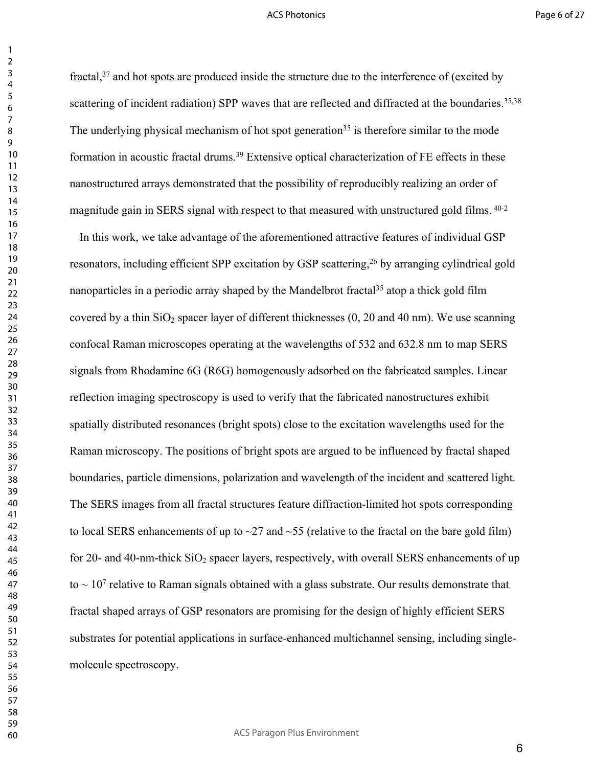fractal, and hot spots are produced inside the structure due to the interference of (excited by scattering of incident radiation) SPP waves that are reflected and diffracted at the boundaries.<sup>35,38</sup> The underlying physical mechanism of hot spot generation<sup>35</sup> is therefore similar to the mode formation in acoustic fractal drums.<sup>39</sup> Extensive optical characterization of FE effects in these nanostructured arrays demonstrated that the possibility of reproducibly realizing an order of magnitude gain in SERS signal with respect to that measured with unstructured gold films. 40-2

In this work, we take advantage of the aforementioned attractive features of individual GSP resonators, including efficient SPP excitation by GSP scattering,<sup>26</sup> by arranging cylindrical gold nanoparticles in a periodic array shaped by the Mandelbrot fractal<sup>35</sup> atop a thick gold film covered by a thin  $SiO<sub>2</sub>$  spacer layer of different thicknesses (0, 20 and 40 nm). We use scanning confocal Raman microscopes operating at the wavelengths of 532 and 632.8 nm to map SERS signals from Rhodamine 6G (R6G) homogenously adsorbed on the fabricated samples. Linear reflection imaging spectroscopy is used to verify that the fabricated nanostructures exhibit spatially distributed resonances (bright spots) close to the excitation wavelengths used for the Raman microscopy. The positions of bright spots are argued to be influenced by fractal shaped boundaries, particle dimensions, polarization and wavelength of the incident and scattered light. The SERS images from all fractal structures feature diffraction-limited hot spots corresponding to local SERS enhancements of up to  $\sim$ 27 and  $\sim$ 55 (relative to the fractal on the bare gold film) for 20- and 40-nm-thick  $SiO<sub>2</sub>$  spacer layers, respectively, with overall SERS enhancements of up to  $\sim 10^7$  relative to Raman signals obtained with a glass substrate. Our results demonstrate that fractal shaped arrays of GSP resonators are promising for the design of highly efficient SERS substrates for potential applications in surface-enhanced multichannel sensing, including singlemolecule spectroscopy.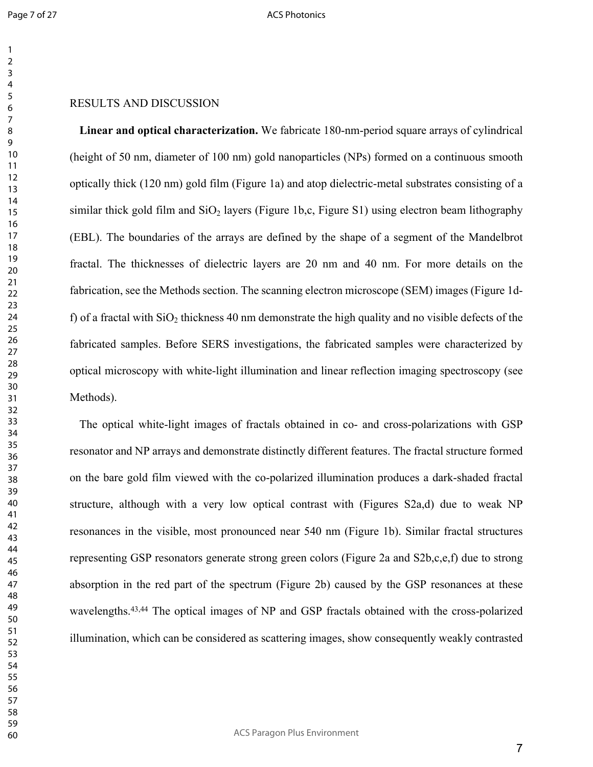#### ACS Photonics

## RESULTS AND DISCUSSION

**Linear and optical characterization.** We fabricate 180-nm-period square arrays of cylindrical (height of 50 nm, diameter of 100 nm) gold nanoparticles (NPs) formed on a continuous smooth optically thick (120 nm) gold film (Figure 1a) and atop dielectric-metal substrates consisting of a similar thick gold film and  $SiO<sub>2</sub>$  layers (Figure 1b,c, Figure S1) using electron beam lithography (EBL). The boundaries of the arrays are defined by the shape of a segment of the Mandelbrot fractal. The thicknesses of dielectric layers are 20 nm and 40 nm. For more details on the fabrication, see the Methods section. The scanning electron microscope (SEM) images (Figure 1df) of a fractal with  $SiO<sub>2</sub>$  thickness 40 nm demonstrate the high quality and no visible defects of the fabricated samples. Before SERS investigations, the fabricated samples were characterized by optical microscopy with white-light illumination and linear reflection imaging spectroscopy (see Methods).

The optical white-light images of fractals obtained in co- and cross-polarizations with GSP resonator and NP arrays and demonstrate distinctly different features. The fractal structure formed on the bare gold film viewed with the co-polarized illumination produces a dark-shaded fractal structure, although with a very low optical contrast with (Figures S2a,d) due to weak NP resonances in the visible, most pronounced near 540 nm (Figure 1b). Similar fractal structures representing GSP resonators generate strong green colors (Figure 2a and S2b,c,e,f) due to strong absorption in the red part of the spectrum (Figure 2b) caused by the GSP resonances at these wavelengths.<sup>43,44</sup> The optical images of NP and GSP fractals obtained with the cross-polarized illumination, which can be considered as scattering images, show consequently weakly contrasted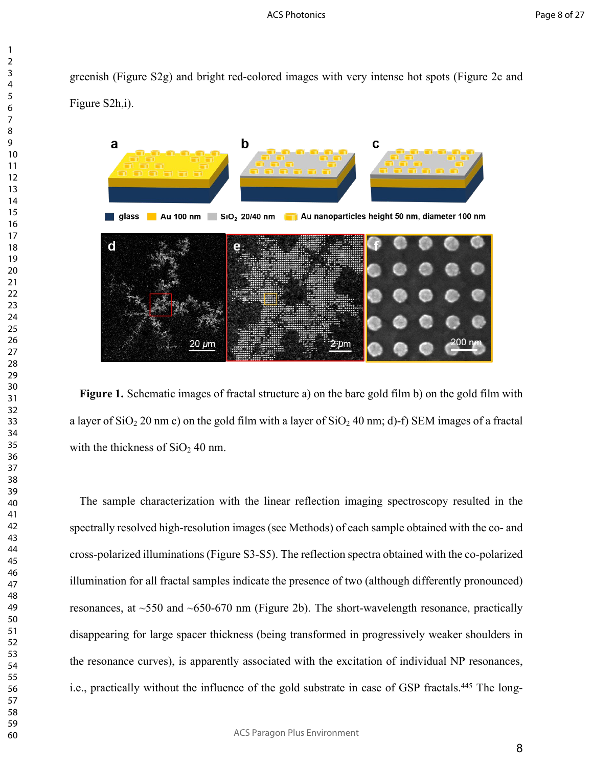greenish (Figure S2g) and bright red-colored images with very intense hot spots (Figure 2c and Figure S2h,i).



**Figure 1.** Schematic images of fractal structure a) on the bare gold film b) on the gold film with a layer of  $SiO<sub>2</sub> 20$  nm c) on the gold film with a layer of  $SiO<sub>2</sub> 40$  nm; d)-f) SEM images of a fractal with the thickness of  $SiO<sub>2</sub>$  40 nm.

The sample characterization with the linear reflection imaging spectroscopy resulted in the spectrally resolved high-resolution images (see Methods) of each sample obtained with the co- and cross-polarized illuminations (Figure S3-S5). The reflection spectra obtained with the co-polarized illumination for all fractal samples indicate the presence of two (although differently pronounced) resonances, at  $\sim$ 550 and  $\sim$ 650-670 nm (Figure 2b). The short-wavelength resonance, practically disappearing for large spacer thickness (being transformed in progressively weaker shoulders in the resonance curves), is apparently associated with the excitation of individual NP resonances, i.e., practically without the influence of the gold substrate in case of GSP fractals.<sup>445</sup> The long-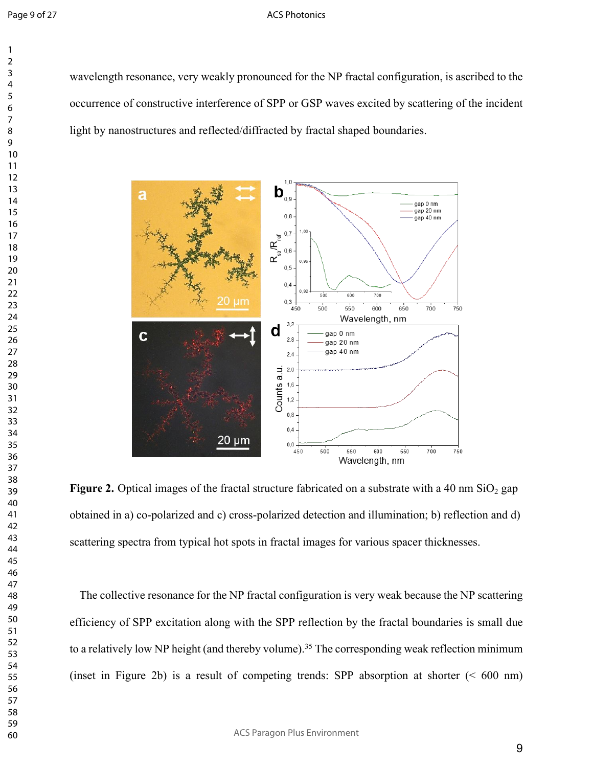## ACS Photonics

wavelength resonance, very weakly pronounced for the NP fractal configuration, is ascribed to the occurrence of constructive interference of SPP or GSP waves excited by scattering of the incident light by nanostructures and reflected/diffracted by fractal shaped boundaries.



**Figure 2.** Optical images of the fractal structure fabricated on a substrate with a 40 nm  $SiO<sub>2</sub>$  gap obtained in a) co-polarized and c) cross-polarized detection and illumination; b) reflection and d) scattering spectra from typical hot spots in fractal images for various spacer thicknesses.

The collective resonance for the NP fractal configuration is very weak because the NP scattering efficiency of SPP excitation along with the SPP reflection by the fractal boundaries is small due to a relatively low NP height (and thereby volume).<sup>35</sup> The corresponding weak reflection minimum (inset in Figure 2b) is a result of competing trends: SPP absorption at shorter  $( $600 \text{ nm}$ )$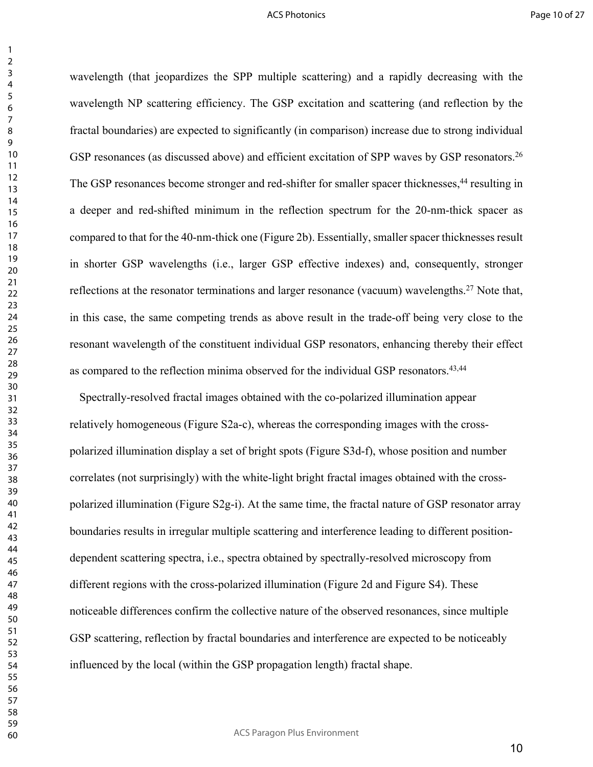wavelength (that jeopardizes the SPP multiple scattering) and a rapidly decreasing with the wavelength NP scattering efficiency. The GSP excitation and scattering (and reflection by the fractal boundaries) are expected to significantly (in comparison) increase due to strong individual GSP resonances (as discussed above) and efficient excitation of SPP waves by GSP resonators.<sup>26</sup> The GSP resonances become stronger and red-shifter for smaller spacer thicknesses,<sup>44</sup> resulting in a deeper and red-shifted minimum in the reflection spectrum for the 20-nm-thick spacer as compared to that for the 40-nm-thick one (Figure 2b). Essentially, smaller spacer thicknesses result in shorter GSP wavelengths (i.e., larger GSP effective indexes) and, consequently, stronger reflections at the resonator terminations and larger resonance (vacuum) wavelengths.<sup>27</sup> Note that, in this case, the same competing trends as above result in the trade-off being very close to the resonant wavelength of the constituent individual GSP resonators, enhancing thereby their effect as compared to the reflection minima observed for the individual GSP resonators.<sup>43,44</sup>

Spectrally-resolved fractal images obtained with the co-polarized illumination appear relatively homogeneous (Figure S2a-c), whereas the corresponding images with the crosspolarized illumination display a set of bright spots (Figure S3d-f), whose position and number correlates (not surprisingly) with the white-light bright fractal images obtained with the crosspolarized illumination (Figure S2g-i). At the same time, the fractal nature of GSP resonator array boundaries results in irregular multiple scattering and interference leading to different positiondependent scattering spectra, i.e., spectra obtained by spectrally-resolved microscopy from different regions with the cross-polarized illumination (Figure 2d and Figure S4). These noticeable differences confirm the collective nature of the observed resonances, since multiple GSP scattering, reflection by fractal boundaries and interference are expected to be noticeably influenced by the local (within the GSP propagation length) fractal shape.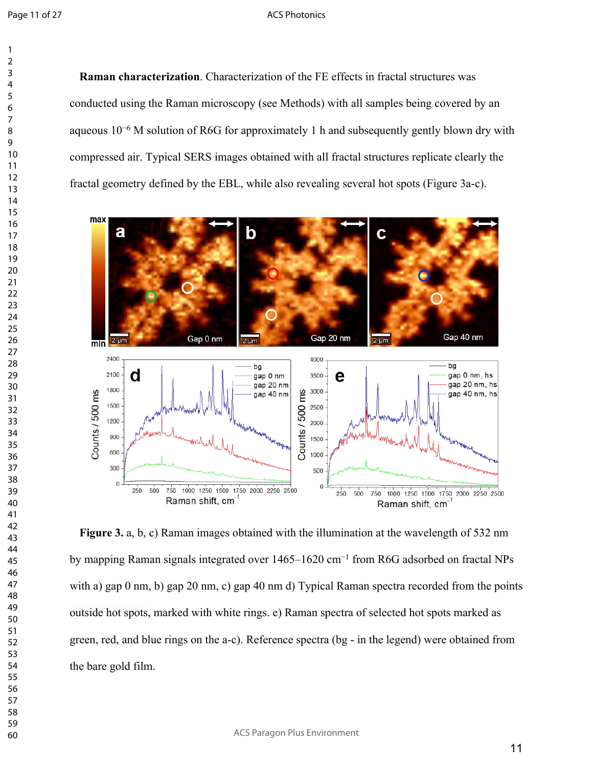#### ACS Photonics

**Raman characterization**. Characterization of the FE effects in fractal structures was conducted using the Raman microscopy (see Methods) with all samples being covered by an aqueous 10−6 M solution of R6G for approximately 1 h and subsequently gently blown dry with compressed air. Typical SERS images obtained with all fractal structures replicate clearly the fractal geometry defined by the EBL, while also revealing several hot spots (Figure 3a-c).



**Figure 3.** a, b, c) Raman images obtained with the illumination at the wavelength of 532 nm by mapping Raman signals integrated over 1465–1620 cm−1 from R6G adsorbed on fractal NPs with a) gap 0 nm, b) gap 20 nm, c) gap 40 nm d) Typical Raman spectra recorded from the points outside hot spots, marked with white rings. e) Raman spectra of selected hot spots marked as green, red, and blue rings on the a-c). Reference spectra (bg - in the legend) were obtained from the bare gold film.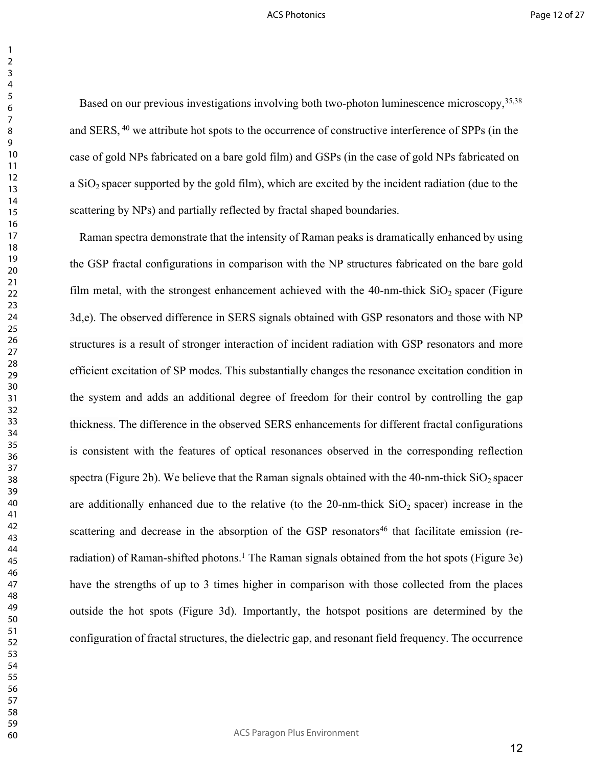Based on our previous investigations involving both two-photon luminescence microscopy, 35,38 and SERS, <sup>40</sup> we attribute hot spots to the occurrence of constructive interference of SPPs (in the case of gold NPs fabricated on a bare gold film) and GSPs (in the case of gold NPs fabricated on a  $SiO<sub>2</sub>$  spacer supported by the gold film), which are excited by the incident radiation (due to the scattering by NPs) and partially reflected by fractal shaped boundaries.

Raman spectra demonstrate that the intensity of Raman peaks is dramatically enhanced by using the GSP fractal configurations in comparison with the NP structures fabricated on the bare gold film metal, with the strongest enhancement achieved with the -nm-thick  $SiO<sub>2</sub>$  spacer (Figure 3d,e). The observed difference in SERS signals obtained with GSP resonators and those with NP structures is a result of stronger interaction of incident radiation with GSP resonators and more efficient excitation of SP modes. This substantially changes the resonance excitation condition in the system and adds an additional degree of freedom for their control by controlling the gap thickness. The difference in the observed SERS enhancements for different fractal configurations is consistent with the features of optical resonances observed in the corresponding reflection spectra (Figure 2b). We believe that the Raman signals obtained with the 40-nm-thick  $SiO<sub>2</sub>$  spacer are additionally enhanced due to the relative (to the -nm-thick  $SiO<sub>2</sub>$  spacer) increase in the scattering and decrease in the absorption of the GSP resonators<sup>46</sup> that facilitate emission (reradiation) of Raman-shifted photons.<sup>1</sup> The Raman signals obtained from the hot spots (Figure 3e) have the strengths of up to 3 times higher in comparison with those collected from the places outside the hot spots (Figure 3d). Importantly, the hotspot positions are determined by the configuration of fractal structures, the dielectric gap, and resonant field frequency. The occurrence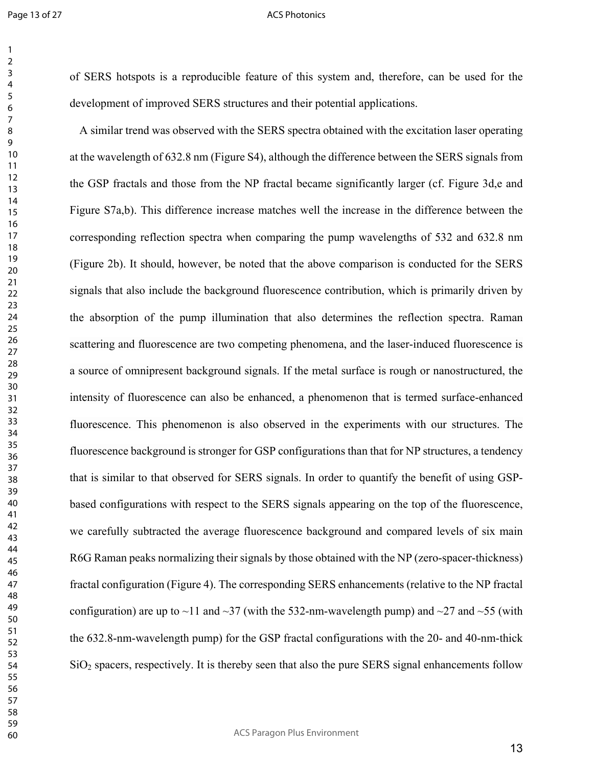#### ACS Photonics

of SERS hotspots is a reproducible feature of this system and, therefore, can be used for the development of improved SERS structures and their potential applications.

A similar trend was observed with the SERS spectra obtained with the excitation laser operating at the wavelength of 632.8 nm (Figure S4), although the difference between the SERS signals from the GSP fractals and those from the NP fractal became significantly larger (cf. Figure 3d,e and Figure S7a,b). This difference increase matches well the increase in the difference between the corresponding reflection spectra when comparing the pump wavelengths of 532 and 632.8 nm (Figure 2b). It should, however, be noted that the above comparison is conducted for the SERS signals that also include the background fluorescence contribution, which is primarily driven by the absorption of the pump illumination that also determines the reflection spectra. Raman scattering and fluorescence are two competing phenomena, and the laser-induced fluorescence is a source of omnipresent background signals. If the metal surface is rough or nanostructured, the intensity of fluorescence can also be enhanced, a phenomenon that is termed surface-enhanced fluorescence. This phenomenon is also observed in the experiments with our structures. The fluorescence background is stronger for GSP configurations than that for NP structures, a tendency that is similar to that observed for SERS signals. In order to quantify the benefit of using GSPbased configurations with respect to the SERS signals appearing on the top of the fluorescence, we carefully subtracted the average fluorescence background and compared levels of six main R6G Raman peaks normalizing their signals by those obtained with the NP (zero-spacer-thickness) fractal configuration (Figure 4). The corresponding SERS enhancements (relative to the NP fractal configuration) are up to  $\sim$ 11 and  $\sim$ 37 (with the 532-nm-wavelength pump) and  $\sim$ 27 and  $\sim$ 55 (with the 632.8-nm-wavelength pump) for the GSP fractal configurations with the 20- and 40-nm-thick SiO<sub>2</sub> spacers, respectively. It is thereby seen that also the pure SERS signal enhancements follow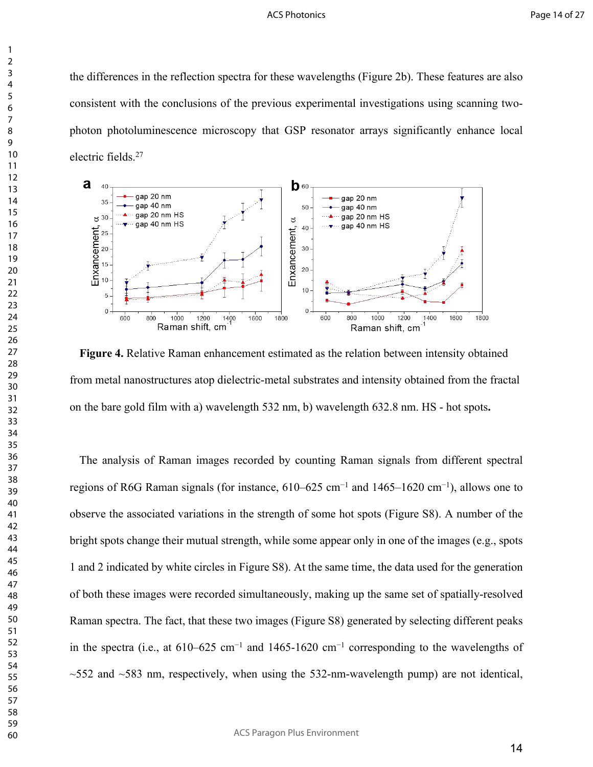the differences in the reflection spectra for these wavelengths (Figure 2b). These features are also consistent with the conclusions of the previous experimental investigations using scanning twophoton photoluminescence microscopy that GSP resonator arrays significantly enhance local electric fields.<sup>27</sup>



**Figure 4.** Relative Raman enhancement estimated as the relation between intensity obtained from metal nanostructures atop dielectric-metal substrates and intensity obtained from the fractal on the bare gold film with a) wavelength 532 nm, b) wavelength 632.8 nm. HS - hot spots**.**

The analysis of Raman images recorded by counting Raman signals from different spectral regions of R6G Raman signals (for instance, 610–625 cm−1 and 1465–1620 cm−1), allows one to observe the associated variations in the strength of some hot spots (Figure S8). A number of the bright spots change their mutual strength, while some appear only in one of the images (e.g., spots 1 and 2 indicated by white circles in Figure S8). At the same time, the data used for the generation of both these images were recorded simultaneously, making up the same set of spatially-resolved Raman spectra. The fact, that these two images (Figure S8) generated by selecting different peaks in the spectra (i.e., at 610–625 cm−1 and 1465-1620 cm−1 corresponding to the wavelengths of  $\sim$ 552 and  $\sim$ 583 nm, respectively, when using the 532-nm-wavelength pump) are not identical,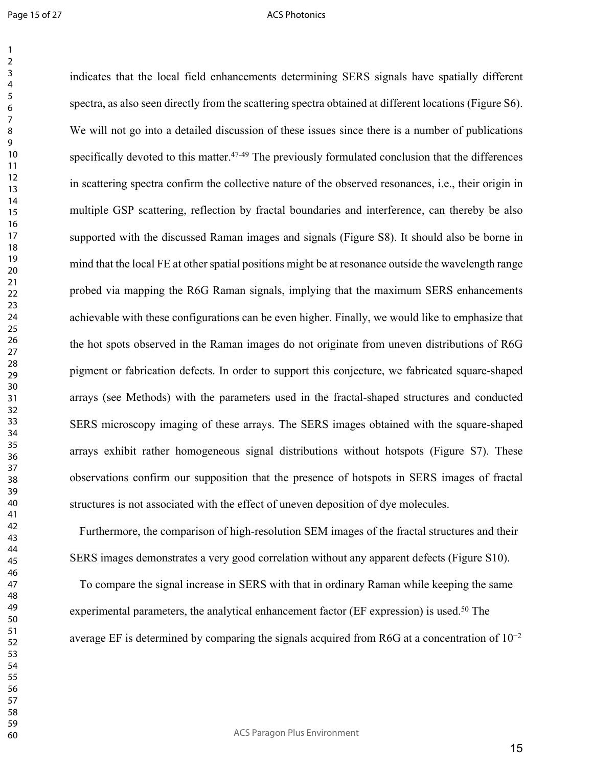Page 15 of 27

## ACS Photonics

indicates that the local field enhancements determining SERS signals have spatially different spectra, as also seen directly from the scattering spectra obtained at different locations (Figure S6). We will not go into a detailed discussion of these issues since there is a number of publications specifically devoted to this matter.<sup>47-49</sup> The previously formulated conclusion that the differences in scattering spectra confirm the collective nature of the observed resonances, i.e., their origin in multiple GSP scattering, reflection by fractal boundaries and interference, can thereby be also supported with the discussed Raman images and signals (Figure S8). It should also be borne in mind that the local FE at other spatial positions might be at resonance outside the wavelength range probed via mapping the R6G Raman signals, implying that the maximum SERS enhancements achievable with these configurations can be even higher. Finally, we would like to emphasize that the hot spots observed in the Raman images do not originate from uneven distributions of R6G pigment or fabrication defects. In order to support this conjecture, we fabricated square-shaped arrays (see Methods) with the parameters used in the fractal-shaped structures and conducted SERS microscopy imaging of these arrays. The SERS images obtained with the square-shaped arrays exhibit rather homogeneous signal distributions without hotspots (Figure S7). These observations confirm our supposition that the presence of hotspots in SERS images of fractal structures is not associated with the effect of uneven deposition of dye molecules.

Furthermore, the comparison of high-resolution SEM images of the fractal structures and their SERS images demonstrates a very good correlation without any apparent defects (Figure S10).

To compare the signal increase in SERS with that in ordinary Raman while keeping the same experimental parameters, the analytical enhancement factor (EF expression) is used.<sup>50</sup> The average EF is determined by comparing the signals acquired from R6G at a concentration of 10<sup>−</sup><sup>2</sup>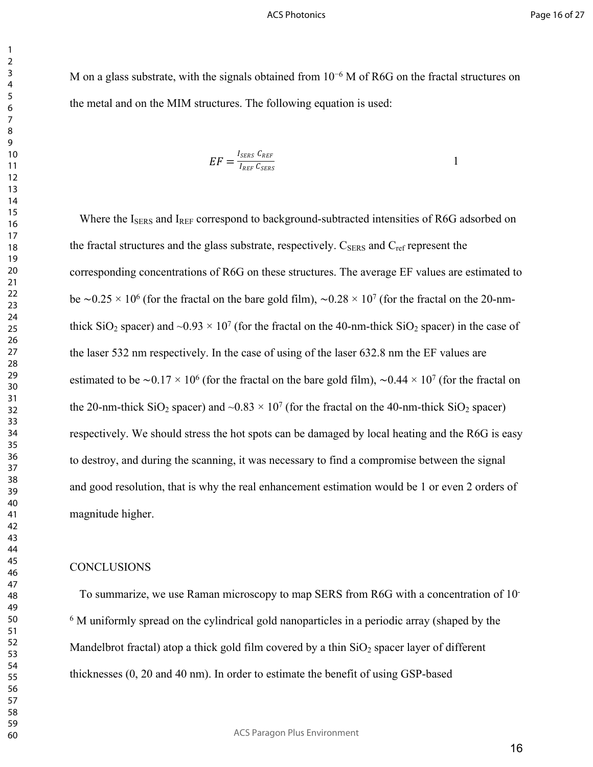M on a glass substrate, with the signals obtained from 10<sup>-6</sup> M of R6G on the fractal structures on the metal and on the MIM structures. The following equation is used:

$$
EF = \frac{I_{SERS} C_{REF}}{I_{REF} C_{SERS}} \tag{1}
$$

Where the I<sub>SERS</sub> and I<sub>REF</sub> correspond to background-subtracted intensities of R6G adsorbed on the fractal structures and the glass substrate, respectively.  $C_{\text{SERS}}$  and  $C_{\text{ref}}$  represent the corresponding concentrations of R6G on these structures. The average EF values are estimated to be ∼0.25 × 10<sup>6</sup> (for the fractal on the bare gold film), ~0.28 × 10<sup>7</sup> (for the fractal on the 20-nmthick  $SiO_2$  spacer) and  $\sim 0.93 \times 10^7$  (for the fractal on the 40-nm-thick  $SiO_2$  spacer) in the case of the laser 532 nm respectively. In the case of using of the laser 632.8 nm the EF values are estimated to be ~0.17 × 10<sup>6</sup> (for the fractal on the bare gold film), ~0.44 × 10<sup>7</sup> (for the fractal on the 20-nm-thick  $SiO_2$  spacer) and  $\sim 0.83 \times 10^7$  (for the fractal on the 40-nm-thick  $SiO_2$  spacer) respectively. We should stress the hot spots can be damaged by local heating and the R6G is easy to destroy, and during the scanning, it was necessary to find a compromise between the signal and good resolution, that is why the real enhancement estimation would be 1 or even 2 orders of magnitude higher.

## **CONCLUSIONS**

To summarize, we use Raman microscopy to map SERS from R6G with a concentration of 10- <sup>6</sup> M uniformly spread on the cylindrical gold nanoparticles in a periodic array (shaped by the Mandelbrot fractal) atop a thick gold film covered by a thin  $SiO<sub>2</sub>$  spacer layer of different thicknesses (0, 20 and 40 nm). In order to estimate the benefit of using GSP-based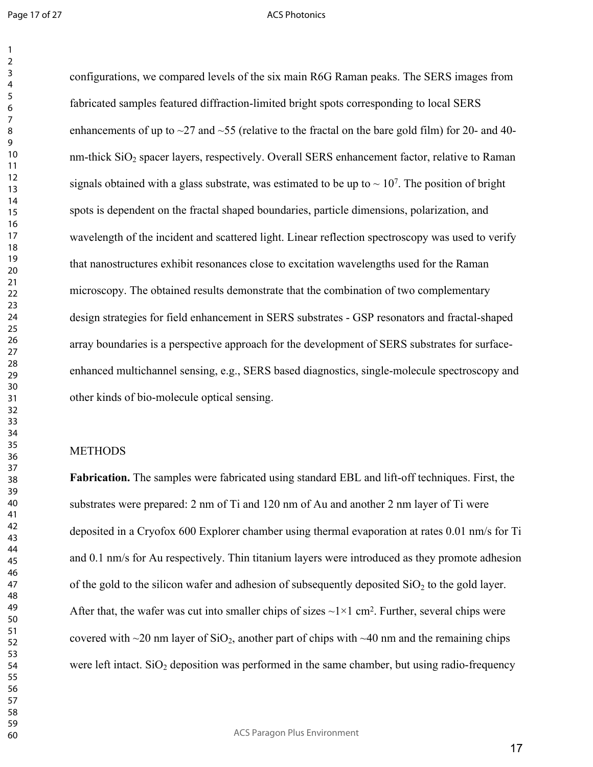#### ACS Photonics

configurations, we compared levels of the six main R6G Raman peaks. The SERS images from fabricated samples featured diffraction-limited bright spots corresponding to local SERS enhancements of up to  $\sim$ 27 and  $\sim$ 55 (relative to the fractal on the bare gold film) for 20- and 40nm-thick  $SiO<sub>2</sub>$  spacer layers, respectively. Overall SERS enhancement factor, relative to Raman signals obtained with a glass substrate, was estimated to be up to  $\sim 10^7$ . The position of bright spots is dependent on the fractal shaped boundaries, particle dimensions, polarization, and wavelength of the incident and scattered light. Linear reflection spectroscopy was used to verify that nanostructures exhibit resonances close to excitation wavelengths used for the Raman microscopy. The obtained results demonstrate that the combination of two complementary design strategies for field enhancement in SERS substrates - GSP resonators and fractal-shaped array boundaries is a perspective approach for the development of SERS substrates for surfaceenhanced multichannel sensing, e.g., SERS based diagnostics, single-molecule spectroscopy and other kinds of bio-molecule optical sensing.

## **METHODS**

**Fabrication.** The samples were fabricated using standard EBL and lift-off techniques. First, the substrates were prepared: 2 nm of Ti and 120 nm of Au and another 2 nm layer of Ti were deposited in a Cryofox 600 Explorer chamber using thermal evaporation at rates 0.01 nm/s for Ti and 0.1 nm/s for Au respectively. Thin titanium layers were introduced as they promote adhesion of the gold to the silicon wafer and adhesion of subsequently deposited  $SiO<sub>2</sub>$  to the gold layer. After that, the wafer was cut into smaller chips of sizes  $\sim 1 \times 1$  cm<sup>2</sup>. Further, several chips were covered with  $\sim$ 20 nm layer of SiO<sub>2</sub>, another part of chips with  $\sim$ 40 nm and the remaining chips were left intact.  $SiO<sub>2</sub>$  deposition was performed in the same chamber, but using radio-frequency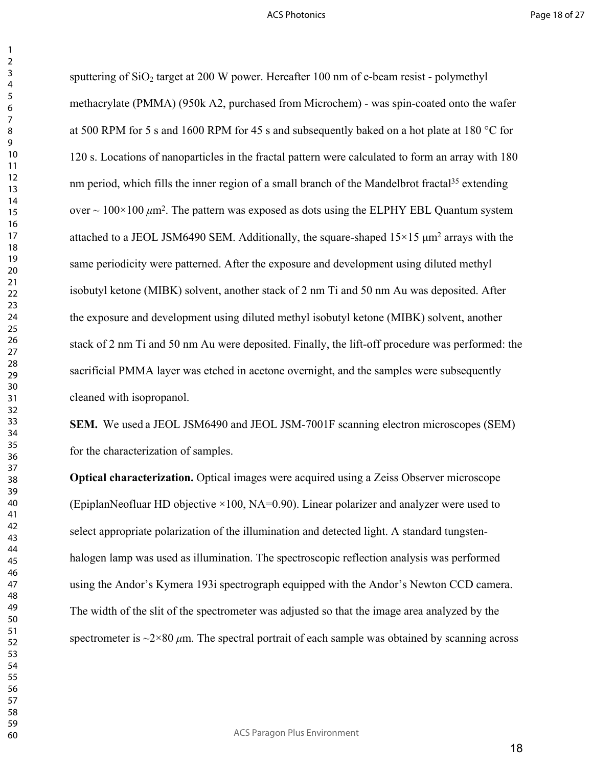sputtering of  $SiO<sub>2</sub>$  target at 200 W power. Hereafter 100 nm of e-beam resist - polymethyl methacrylate (PMMA) (950k A2, purchased from Microchem) - was spin-coated onto the wafer at 500 RPM for 5 s and 1600 RPM for 45 s and subsequently baked on a hot plate at 180 °C for 120 s. Locations of nanoparticles in the fractal pattern were calculated to form an array with 180 nm period, which fills the inner region of a small branch of the Mandelbrot fractal<sup>35</sup> extending over  $\sim 100 \times 100 \ \mu m^2$ . The pattern was exposed as dots using the ELPHY EBL Quantum system attached to a JEOL JSM6490 SEM. Additionally, the square-shaped  $15\times15 \mu m^2$  arrays with the same periodicity were patterned. After the exposure and development using diluted methyl isobutyl ketone (MIBK) solvent, another stack of 2 nm Ti and 50 nm Au was deposited. After the exposure and development using diluted methyl isobutyl ketone (MIBK) solvent, another stack of 2 nm Ti and 50 nm Au were deposited. Finally, the lift-off procedure was performed: the sacrificial PMMA layer was etched in acetone overnight, and the samples were subsequently cleaned with isopropanol.

**SEM.** We used a JEOL JSM6490 and JEOL JSM-7001F scanning electron microscopes (SEM) for the characterization of samples.

**Optical characterization.** Optical images were acquired using a Zeiss Observer microscope (EpiplanNeofluar HD objective  $\times$ 100, NA=0.90). Linear polarizer and analyzer were used to select appropriate polarization of the illumination and detected light. A standard tungstenhalogen lamp was used as illumination. The spectroscopic reflection analysis was performed using the Andor's Kymera 193i spectrograph equipped with the Andor's Newton CCD camera. The width of the slit of the spectrometer was adjusted so that the image area analyzed by the spectrometer is  $\sim$ 2×80  $\mu$ m. The spectral portrait of each sample was obtained by scanning across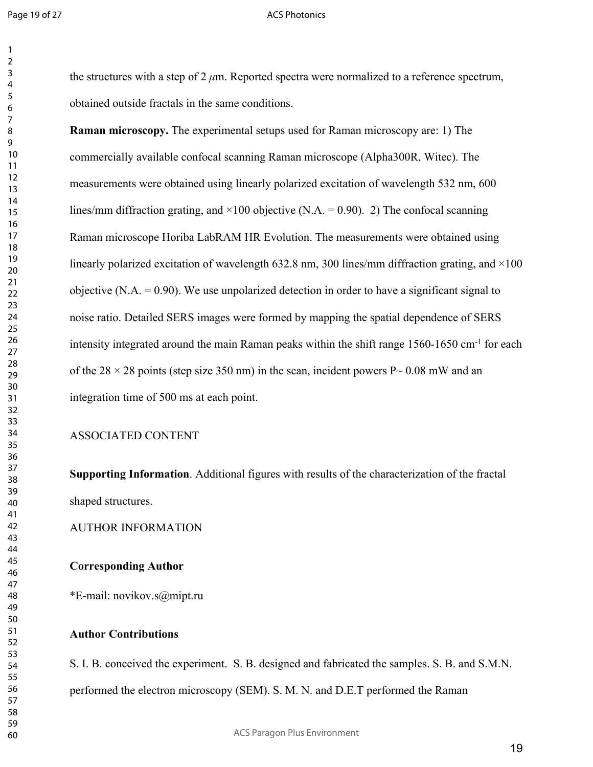#### ACS Photonics

the structures with a step of 2 *μ*m. Reported spectra were normalized to a reference spectrum, obtained outside fractals in the same conditions.

**Raman microscopy.** The experimental setups used for Raman microscopy are: 1) The commercially available confocal scanning Raman microscope (Alpha300R, Witec). The measurements were obtained using linearly polarized excitation of wavelength 532 nm, 600 lines/mm diffraction grating, and  $\times$ 100 objective (N.A. = 0.90). 2) The confocal scanning Raman microscope Horiba LabRAM HR Evolution. The measurements were obtained using linearly polarized excitation of wavelength 632.8 nm, 300 lines/mm diffraction grating, and  $\times$ 100 objective  $(N.A. = 0.90)$ . We use unpolarized detection in order to have a significant signal to noise ratio. Detailed SERS images were formed by mapping the spatial dependence of SERS intensity integrated around the main Raman peaks within the shift range 1560-1650 cm-1 for each of the 28  $\times$  28 points (step size 350 nm) in the scan, incident powers P $\sim$  0.08 mW and an integration time of 500 ms at each point.

## ASSOCIATED CONTENT

**Supporting Information**. Additional figures with results of the characterization of the fractal shaped structures.

AUTHOR INFORMATION

## **Corresponding Author**

\*E-mail: novikov.s@mipt.ru

## **Author Contributions**

S. I. B. conceived the experiment. S. B. designed and fabricated the samples. S. B. and S.M.N. performed the electron microscopy (SEM). S. M. N. and D.E.T performed the Raman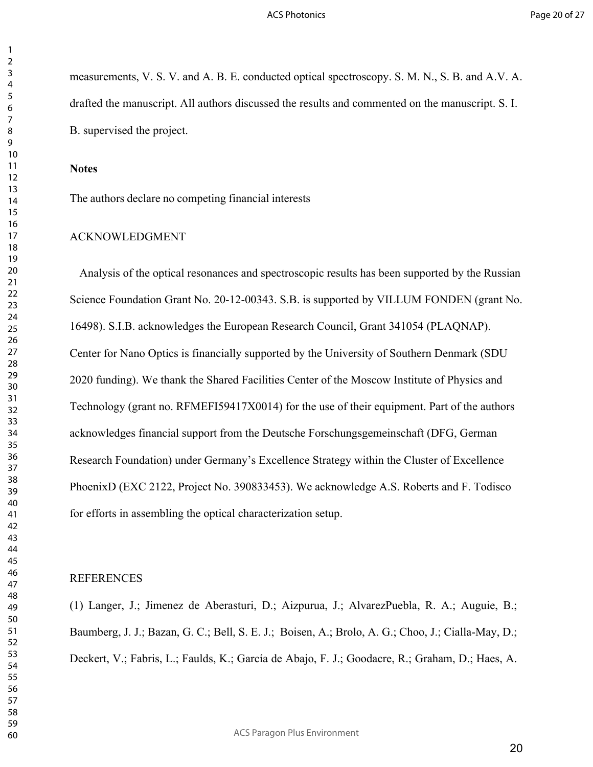measurements, V. S. V. and A. B. E. conducted optical spectroscopy. S. M. N., S. B. and A.V. A. drafted the manuscript. All authors discussed the results and commented on the manuscript. S. I. B. supervised the project.

## **Notes**

The authors declare no competing financial interests

## ACKNOWLEDGMENT

Analysis of the optical resonances and spectroscopic results has been supported by the Russian Science Foundation Grant No. 20-12-00343. S.B. is supported by VILLUM FONDEN (grant No. 16498). S.I.B. acknowledges the European Research Council, Grant 341054 (PLAQNAP). Center for Nano Optics is financially supported by the University of Southern Denmark (SDU 2020 funding). We thank the Shared Facilities Center of the Moscow Institute of Physics and Technology (grant no. RFMEFI59417X0014) for the use of their equipment. Part of the authors acknowledges financial support from the Deutsche Forschungsgemeinschaft (DFG, German Research Foundation) under Germany's Excellence Strategy within the Cluster of Excellence PhoenixD (EXC 2122, Project No. 390833453). We acknowledge A.S. Roberts and F. Todisco for efforts in assembling the optical characterization setup.

## REFERENCES

(1) Langer, J.; Jimenez de Aberasturi, D.; Aizpurua, J.; AlvarezPuebla, R. A.; Auguie, B.; Baumberg, J. J.; Bazan, G. C.; Bell, S. E. J.; Boisen, A.; Brolo, A. G.; Choo, J.; Cialla-May, D.; Deckert, V.; Fabris, L.; Faulds, K.; García de Abajo, F. J.; Goodacre, R.; Graham, D.; Haes, A.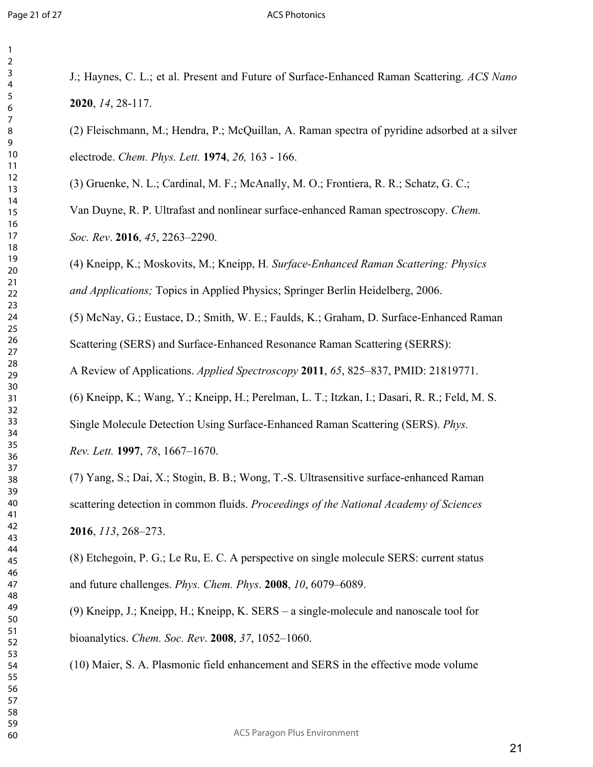#### ACS Photonics

J.; Haynes, C. L.; et al. Present and Future of Surface-Enhanced Raman Scattering. *ACS Nano* , *14*, 28-117.

(2) Fleischmann, M.; Hendra, P.; McQuillan, A. Raman spectra of pyridine adsorbed at a silver electrode. *Chem. Phys. Lett.* **1974**, *26,* 163 - 166.

(3) Gruenke, N. L.; Cardinal, M. F.; McAnally, M. O.; Frontiera, R. R.; Schatz, G. C.;

Van Duyne, R. P. Ultrafast and nonlinear surface-enhanced Raman spectroscopy. *Chem. Soc. Rev*. **2016**, *45*, 2263–2290.

(4) Kneipp, K.; Moskovits, M.; Kneipp, H*. Surface-Enhanced Raman Scattering: Physics and Applications;* Topics in Applied Physics; Springer Berlin Heidelberg, 2006.

(5) McNay, G.; Eustace, D.; Smith, W. E.; Faulds, K.; Graham, D. Surface-Enhanced Raman Scattering (SERS) and Surface-Enhanced Resonance Raman Scattering (SERRS):

A Review of Applications. *Applied Spectroscopy* **2011**, *65*, 825–837, PMID: 21819771.

(6) Kneipp, K.; Wang, Y.; Kneipp, H.; Perelman, L. T.; Itzkan, I.; Dasari, R. R.; Feld, M. S. Single Molecule Detection Using Surface-Enhanced Raman Scattering (SERS). *Phys. Rev. Lett.* **1997**, *78*, 1667–1670.

(7) Yang, S.; Dai, X.; Stogin, B. B.; Wong, T.-S. Ultrasensitive surface-enhanced Raman scattering detection in common fluids. *Proceedings of the National Academy of Sciences* , *113*, 268–273.

(8) Etchegoin, P. G.; Le Ru, E. C. A perspective on single molecule SERS: current status and future challenges. *Phys. Chem. Phys*. **2008**, *10*, 6079–6089.

(9) Kneipp, J.; Kneipp, H.; Kneipp, K. SERS – a single-molecule and nanoscale tool for bioanalytics. *Chem. Soc. Rev*. **2008**, *37*, 1052–1060.

(10) Maier, S. A. Plasmonic field enhancement and SERS in the effective mode volume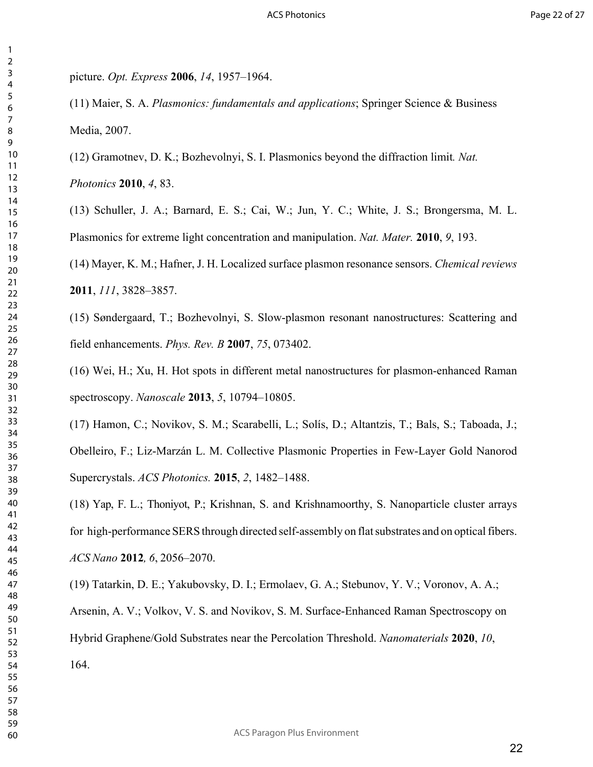picture. *Opt. Express* **2006**, *14*, 1957–1964.

(11) Maier, S. A. *Plasmonics: fundamentals and applications*; Springer Science & Business Media, 2007.

(12) Gramotnev, D. K.; Bozhevolnyi, S. I. Plasmonics beyond the diffraction limit*. Nat.*

*Photonics* **2010**, *4*, 83.

(13) Schuller, J. A.; Barnard, E. S.; Cai, W.; Jun, Y. C.; White, J. S.; Brongersma, M. L. Plasmonics for extreme light concentration and manipulation. *Nat. Mater.* **2010**, *9*, 193.

(14) Mayer, K. M.; Hafner, J. H. Localized surface plasmon resonance sensors. *Chemical reviews*  , *111*, 3828–3857.

(15) Søndergaard, T.; Bozhevolnyi, S. Slow-plasmon resonant nanostructures: Scattering and field enhancements. *Phys. Rev. B* **2007**, *75*, 073402.

(16) Wei, H.; Xu, H. Hot spots in different metal nanostructures for plasmon-enhanced Raman spectroscopy. *Nanoscale* **2013**, *5*, 10794–10805.

(17) Hamon, C.; Novikov, S. M.; Scarabelli, L.; Solís, D.; Altantzis, T.; Bals, S.; Taboada, J.; Obelleiro, F.; Liz-Marzán L. M. Collective Plasmonic Properties in Few-Layer Gold Nanorod Supercrystals. *ACS Photonics.* **2015**, *2*, 1482–1488.

(18) Yap, F. L.; Thoniyot, P.; Krishnan, S. and Krishnamoorthy, S. Nanoparticle cluster arrays for high-performance SERS through directed self-assembly on flat substrates and on optical fibers. *ACS Nano* **2012***, 6*, 2056–2070.

(19) Tatarkin, D. E.; Yakubovsky, D. I.; Ermolaev, G. A.; Stebunov, Y. V.; Voronov, A. A.; Arsenin, A. V.; Volkov, V. S. and Novikov, S. M. Surface-Enhanced Raman Spectroscopy on Hybrid Graphene/Gold Substrates near the Percolation Threshold. *Nanomaterials* **2020**, *10*, 164.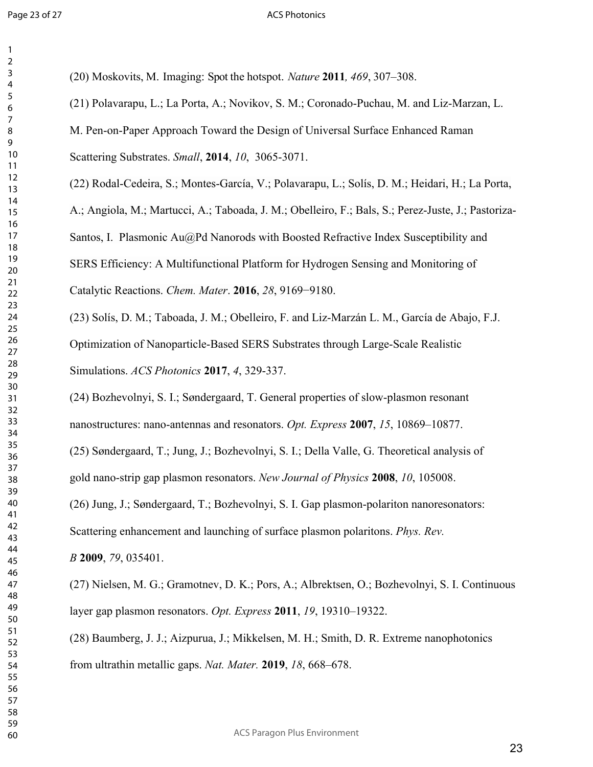#### ACS Photonics

(20) Moskovits, M. Imaging: Spot the hotspot. *Nature* **2011***, 469*, 307–308. (21) Polavarapu, L.; La Porta, A.; Novikov, S. M.; Coronado-Puchau, M. and Liz-Marzan, L. M. Pen-on-Paper Approach Toward the Design of Universal Surface Enhanced Raman Scattering Substrates. *Small*, **2014**, *10*, 3065-3071. (22) Rodal-Cedeira, S.; Montes-García, V.; Polavarapu, L.; Solís, D. M.; Heidari, H.; La Porta, A.; Angiola, M.; Martucci, A.; Taboada, J. M.; Obelleiro, F.; Bals, S.; Perez-Juste, J.; Pastoriza-Santos, I. Plasmonic Au@Pd Nanorods with Boosted Refractive Index Susceptibility and SERS Efficiency: A Multifunctional Platform for Hydrogen Sensing and Monitoring of Catalytic Reactions. *Chem. Mater*. **2016**, *28*, 9169−9180. (23) Solís, D. M.; Taboada, J. M.; Obelleiro, F. and Liz-Marzán L. M., García de Abajo, F.J. Optimization of Nanoparticle-Based SERS Substrates through Large-Scale Realistic Simulations. *ACS Photonics* **2017**, *4*, 329-337. (24) Bozhevolnyi, S. I.; Søndergaard, T. General properties of slow-plasmon resonant nanostructures: nano-antennas and resonators. *Opt. Express* **2007**, *15*, 10869–10877. (25) Søndergaard, T.; Jung, J.; Bozhevolnyi, S. I.; Della Valle, G. Theoretical analysis of gold nano-strip gap plasmon resonators. *New Journal of Physics* **2008**, *10*, 105008. (26) Jung, J.; Søndergaard, T.; Bozhevolnyi, S. I. Gap plasmon-polariton nanoresonators:

Scattering enhancement and launching of surface plasmon polaritons. *Phys. Rev.*

*B* **2009**, *79*, 035401.

(27) Nielsen, M. G.; Gramotnev, D. K.; Pors, A.; Albrektsen, O.; Bozhevolnyi, S. I. Continuous layer gap plasmon resonators. *Opt. Express* **2011**, *19*, 19310–19322.

(28) Baumberg, J. J.; Aizpurua, J.; Mikkelsen, M. H.; Smith, D. R. Extreme nanophotonics from ultrathin metallic gaps. *Nat. Mater.* **2019**, *18*, 668–678.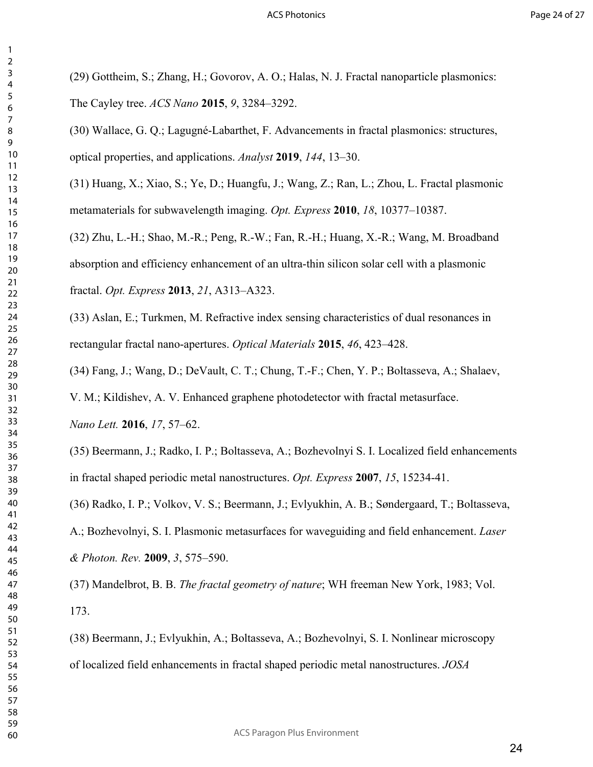(29) Gottheim, S.; Zhang, H.; Govorov, A. O.; Halas, N. J. Fractal nanoparticle plasmonics: The Cayley tree. *ACS Nano* **2015**, *9*, 3284–3292.

(30) Wallace, G. Q.; Lagugné-Labarthet, F. Advancements in fractal plasmonics: structures, optical properties, and applications. *Analyst* **2019**, *144*, 13–30.

(31) Huang, X.; Xiao, S.; Ye, D.; Huangfu, J.; Wang, Z.; Ran, L.; Zhou, L. Fractal plasmonic metamaterials for subwavelength imaging. *Opt. Express* **2010**, *18*, 10377–10387.

(32) Zhu, L.-H.; Shao, M.-R.; Peng, R.-W.; Fan, R.-H.; Huang, X.-R.; Wang, M. Broadband absorption and efficiency enhancement of an ultra-thin silicon solar cell with a plasmonic fractal. *Opt. Express* **2013**, *21*, A313–A323.

(33) Aslan, E.; Turkmen, M. Refractive index sensing characteristics of dual resonances in rectangular fractal nano-apertures. *Optical Materials* **2015**, *46*, 423–428.

(34) Fang, J.; Wang, D.; DeVault, C. T.; Chung, T.-F.; Chen, Y. P.; Boltasseva, A.; Shalaev,

V. M.; Kildishev, A. V. Enhanced graphene photodetector with fractal metasurface.

*Nano Lett.* **2016**, *17*, 57–62.

(35) Beermann, J.; Radko, I. P.; Boltasseva, A.; Bozhevolnyi S. I. Localized field enhancements in fractal shaped periodic metal nanostructures. *Opt. Express* **2007**, *15*, 15234-41.

(36) Radko, I. P.; Volkov, V. S.; Beermann, J.; Evlyukhin, A. B.; Søndergaard, T.; Boltasseva,

A.; Bozhevolnyi, S. I. Plasmonic metasurfaces for waveguiding and field enhancement. *Laser & Photon. Rev.* **2009**, *3*, 575–590.

(37) Mandelbrot, B. B. *The fractal geometry of nature*; WH freeman New York, 1983; Vol. 173.

(38) Beermann, J.; Evlyukhin, A.; Boltasseva, A.; Bozhevolnyi, S. I. Nonlinear microscopy of localized field enhancements in fractal shaped periodic metal nanostructures. *JOSA*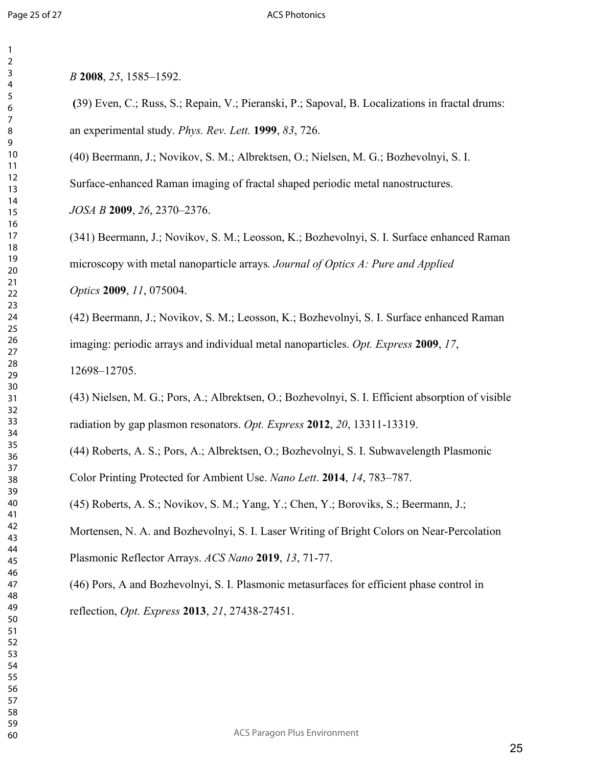## ACS Photonics

*B* **2008**, *25*, 1585–1592.

 **(**39) Even, C.; Russ, S.; Repain, V.; Pieranski, P.; Sapoval, B. Localizations in fractal drums: an experimental study. *Phys. Rev. Lett.* **1999**, *83*, 726.

(40) Beermann, J.; Novikov, S. M.; Albrektsen, O.; Nielsen, M. G.; Bozhevolnyi, S. I.

Surface-enhanced Raman imaging of fractal shaped periodic metal nanostructures.

*JOSA B* **2009**, *26*, 2370–2376.

(341) Beermann, J.; Novikov, S. M.; Leosson, K.; Bozhevolnyi, S. I. Surface enhanced Raman microscopy with metal nanoparticle arrays*. Journal of Optics A: Pure and Applied Optics* **2009**, *11*, 075004.

(42) Beermann, J.; Novikov, S. M.; Leosson, K.; Bozhevolnyi, S. I. Surface enhanced Raman imaging: periodic arrays and individual metal nanoparticles. *Opt. Express* **2009**, *17*, 12698–12705.

(43) Nielsen, M. G.; Pors, A.; Albrektsen, O.; Bozhevolnyi, S. I. Efficient absorption of visible radiation by gap plasmon resonators. *Opt. Express* **2012**, *20*, 13311-13319.

(44) Roberts, A. S.; Pors, A.; Albrektsen, O.; Bozhevolnyi, S. I. Subwavelength Plasmonic Color Printing Protected for Ambient Use. *Nano Lett*. **2014**, *14*, 783–787.

(45) Roberts, A. S.; Novikov, S. M.; Yang, Y.; Chen, Y.; Boroviks, S.; Beermann, J.;

Mortensen, N. A. and Bozhevolnyi, S. I. Laser Writing of Bright Colors on Near-Percolation Plasmonic Reflector Arrays. *ACS Nano* **2019**, *13*, 71-77.

(46) Pors, A and Bozhevolnyi, S. I. Plasmonic metasurfaces for efficient phase control in reflection, *Opt. Express* **2013**, *21*, 27438-27451.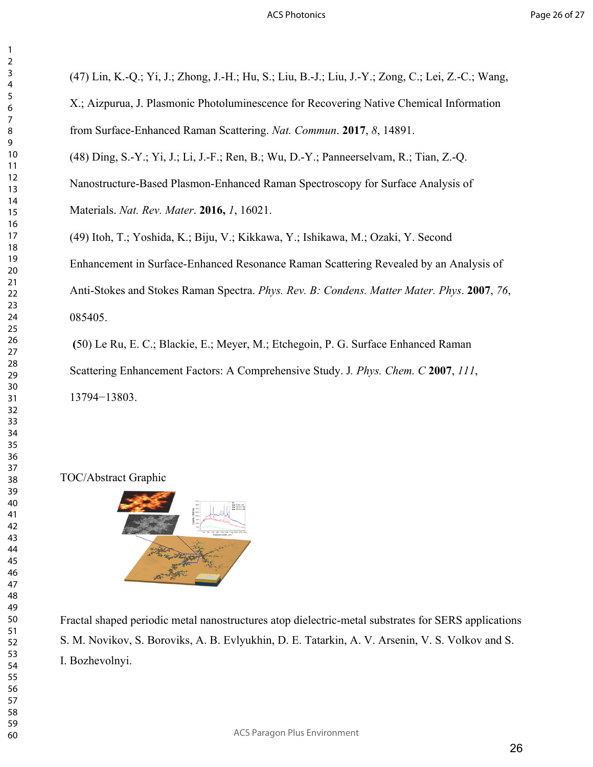(47) Lin, K.-Q.; Yi, J.; Zhong, J.-H.; Hu, S.; Liu, B.-J.; Liu, J.-Y.; Zong, C.; Lei, Z.-C.; Wang,

X.; Aizpurua, J. Plasmonic Photoluminescence for Recovering Native Chemical Information from Surface-Enhanced Raman Scattering. *Nat. Commun*. **2017**, *8*, 14891.

(48) Ding, S.-Y.; Yi, J.; Li, J.-F.; Ren, B.; Wu, D.-Y.; Panneerselvam, R.; Tian, Z.-Q.

Nanostructure-Based Plasmon-Enhanced Raman Spectroscopy for Surface Analysis of Materials. *Nat. Rev. Mater*. **2016,** *1*, 16021.

(49) Itoh, T.; Yoshida, K.; Biju, V.; Kikkawa, Y.; Ishikawa, M.; Ozaki, Y. Second Enhancement in Surface-Enhanced Resonance Raman Scattering Revealed by an Analysis of Anti-Stokes and Stokes Raman Spectra. *Phys. Rev. B: Condens. Matter Mater. Phys*. **2007**, *76*, 085405.

 **(**50) Le Ru, E. C.; Blackie, E.; Meyer, M.; Etchegoin, P. G. Surface Enhanced Raman Scattering Enhancement Factors: A Comprehensive Study. J*. Phys. Chem. C* **2007**, *111*, −13803.

## TOC/Abstract Graphic



Fractal shaped periodic metal nanostructures atop dielectric-metal substrates for SERS applications S. M. Novikov, S. Boroviks, A. B. Evlyukhin, D. E. Tatarkin, A. V. Arsenin, V. S. Volkov and S. I. Bozhevolnyi.